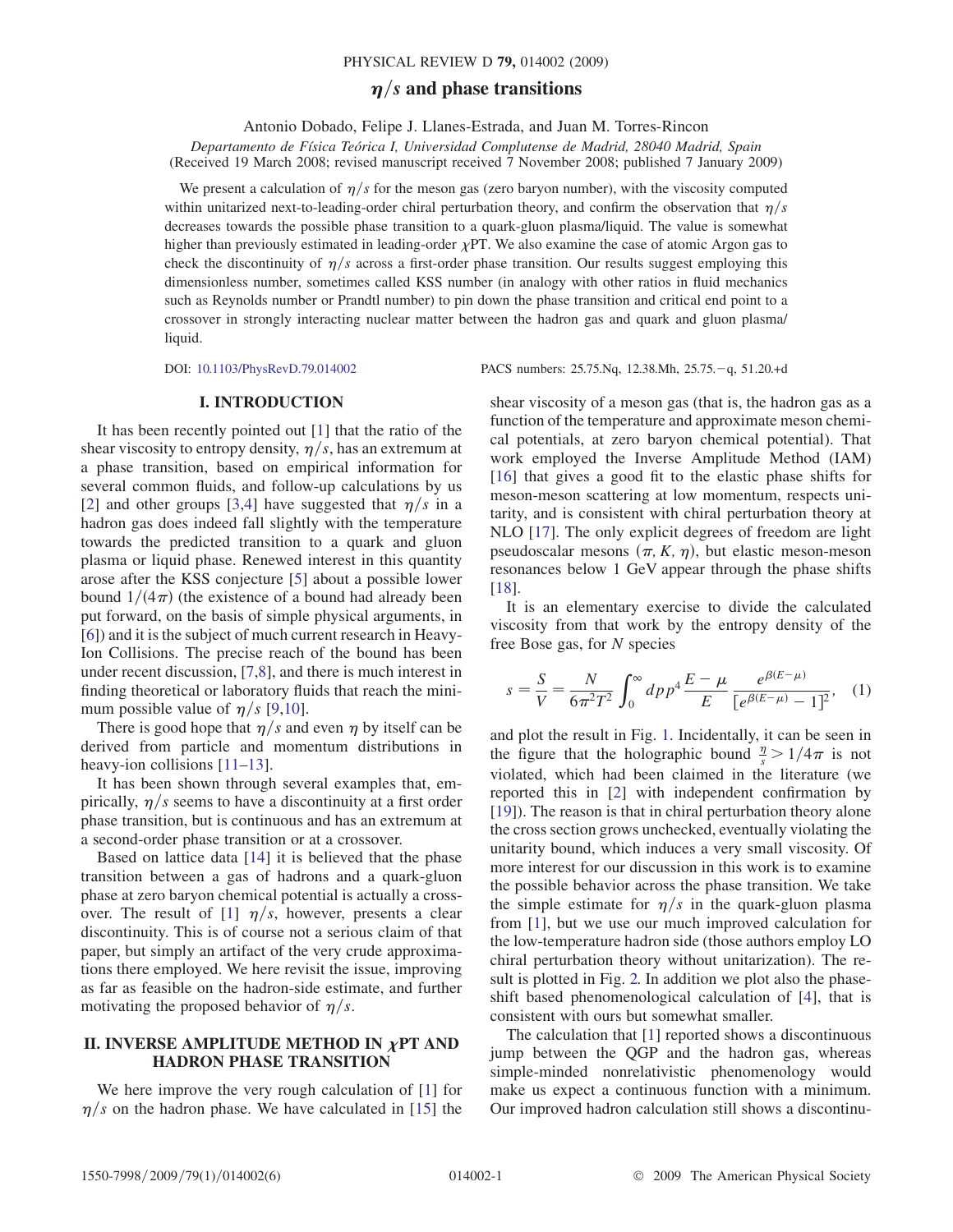## $\eta/s$  and phase transitions

Antonio Dobado, Felipe J. Llanes-Estrada, and Juan M. Torres-Rincon

Departamento de Física Teórica I, Universidad Complutense de Madrid, 28040 Madrid, Spain (Received 19 March 2008; revised manuscript received 7 November 2008; published 7 January 2009)

We present a calculation of  $\eta/s$  for the meson gas (zero baryon number), with the viscosity computed within unitarized next-to-leading-order chiral perturbation theory, and confirm the observation that  $\eta/s$ decreases towards the possible phase transition to a quark-gluon plasma/liquid. The value is somewhat higher than previously estimated in leading-order  $\chi PT$ . We also examine the case of atomic Argon gas to check the discontinuity of  $\pi/s$  across a first order phase transition. Our results suggest employing this check the discontinuity of  $\eta/s$  across a first-order phase transition. Our results suggest employing this dimensionless number, sometimes called KSS number (in analogy with other ratios in fluid mechanics such as Reynolds number or Prandtl number) to pin down the phase transition and critical end point to a crossover in strongly interacting nuclear matter between the hadron gas and quark and gluon plasma/ liquid.

DOI: [10.1103/PhysRevD.79.014002](http://dx.doi.org/10.1103/PhysRevD.79.014002) PACS numbers: 25.75.Nq, 12.38.Mh, 25.75.q, 51.20.+d

#### I. INTRODUCTION

It has been recently pointed out [1] that the ratio of the shear viscosity to entropy density,  $\eta/s$ , has an extremum at a phase transition, based on empirical information for several common fluids, and follow-up calculations by us [2] and other groups [3,4] have suggested that  $\eta/s$  in a hadron gas does indeed fall slightly with the temperature towards the predicted transition to a quark and gluon plasma or liquid phase. Renewed interest in this quantity arose after the KSS conjecture [5] about a possible lower bound  $1/(4\pi)$  (the existence of a bound had already been put forward, on the basis of simple physical arguments, in [6]) and it is the subject of much current research in Heavy-Ion Collisions. The precise reach of the bound has been under recent discussion, [7,8], and there is much interest in finding theoretical or laboratory fluids that reach the minimum possible value of  $\eta$ /s [9,10].

There is good hope that  $\eta/s$  and even  $\eta$  by itself can be derived from particle and momentum distributions in heavy-ion collisions [11–13].

It has been shown through several examples that, empirically,  $\eta/s$  seems to have a discontinuity at a first order phase transition, but is continuous and has an extremum at a second-order phase transition or at a crossover.

Based on lattice data [14] it is believed that the phase transition between a gas of hadrons and a quark-gluon phase at zero baryon chemical potential is actually a crossover. The result of [1]  $\eta/s$ , however, presents a clear discontinuity. This is of course not a serious claim of that paper, but simply an artifact of the very crude approximations there employed. We here revisit the issue, improving as far as feasible on the hadron-side estimate, and further motivating the proposed behavior of  $\eta/s$ .

# II. INVERSE AMPLITUDE METHOD IN  $\chi$ PT AND HADRON PHASE TRANSITION

We here improve the very rough calculation of [1] for  $\eta/s$  on the hadron phase. We have calculated in [15] the shear viscosity of a meson gas (that is, the hadron gas as a function of the temperature and approximate meson chemical potentials, at zero baryon chemical potential). That work employed the Inverse Amplitude Method (IAM) [16] that gives a good fit to the elastic phase shifts for meson-meson scattering at low momentum, respects unitarity, and is consistent with chiral perturbation theory at NLO [17]. The only explicit degrees of freedom are light pseudoscalar mesons  $(\pi, K, \eta)$ , but elastic meson-meson resonances below 1 GeV appear through the phase shifts [18].

It is an elementary exercise to divide the calculated viscosity from that work by the entropy density of the free Bose gas, for  $N$  species

<span id="page-0-0"></span>
$$
s = \frac{S}{V} = \frac{N}{6\pi^2 T^2} \int_0^\infty dp \, p^4 \frac{E - \mu}{E} \frac{e^{\beta(E - \mu)}}{[e^{\beta(E - \mu)} - 1]^2}, \quad (1)
$$

and plot the result in Fig. 1. Incidentally, it can be seen in the figure that the holographic bound  $\frac{\eta}{s} > 1/4\pi$  is not violated, which had been claimed in the literature (we violated, which had been claimed in the literature (we reported this in [2] with independent confirmation by [19]). The reason is that in chiral perturbation theory alone the cross section grows unchecked, eventually violating the unitarity bound, which induces a very small viscosity. Of more interest for our discussion in this work is to examine the possible behavior across the phase transition. We take the simple estimate for  $\eta/s$  in the quark-gluon plasma from [1], but we use our much improved calculation for the low-temperature hadron side (those authors employ LO chiral perturbation theory without unitarization). The result is plotted in Fig. 2. In addition we plot also the phaseshift based phenomenological calculation of [4], that is consistent with ours but somewhat smaller.

The calculation that [1] reported shows a discontinuous jump between the QGP and the hadron gas, whereas simple-minded nonrelativistic phenomenology would make us expect a continuous function with a minimum. Our improved hadron calculation still shows a discontinu-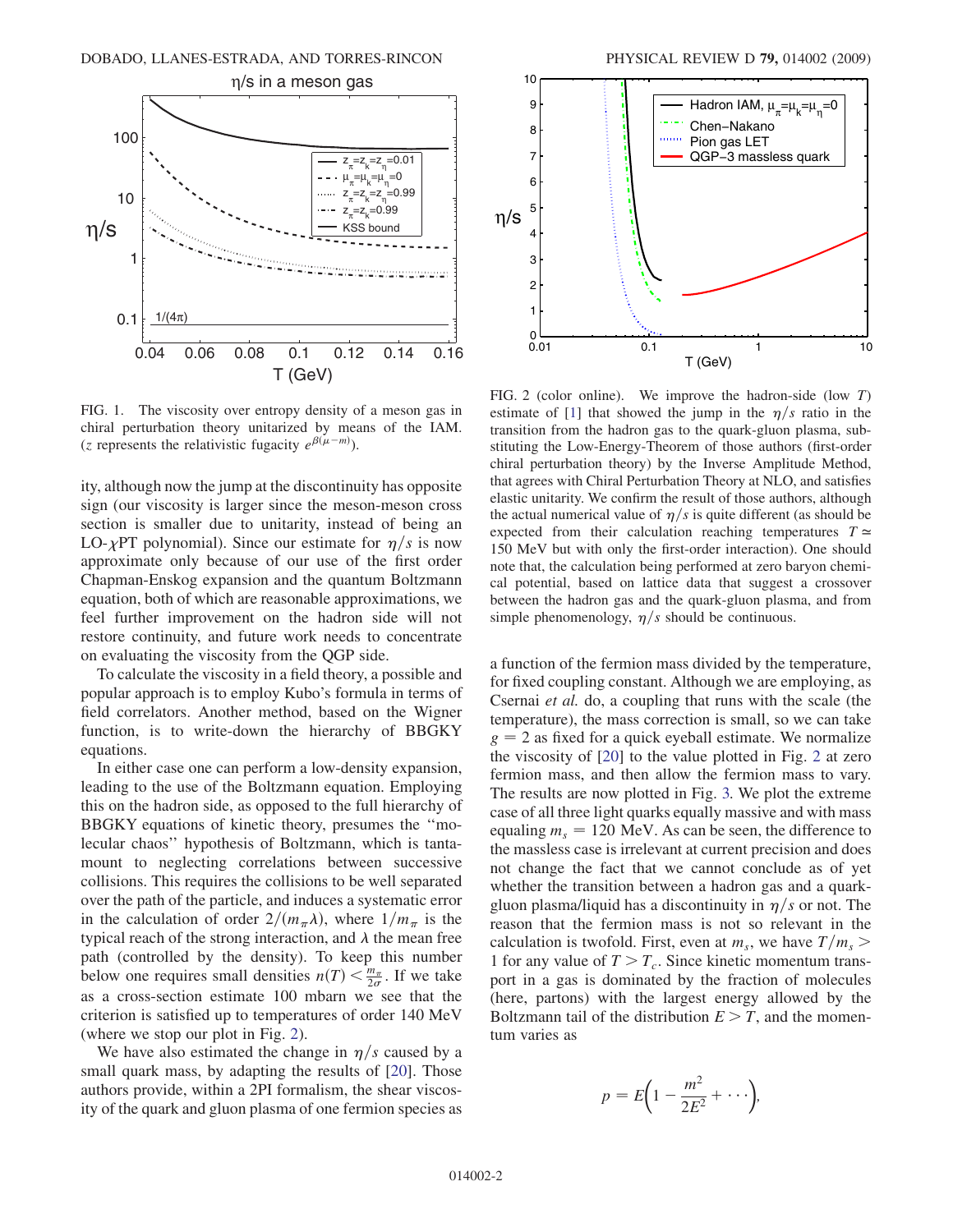

FIG. 1. The viscosity over entropy density of a meson gas in chiral perturbation theory unitarized by means of the IAM. (*z* represents the relativistic fugacity  $e^{\beta(\mu-m)}$ ).

ity, although now the jump at the discontinuity has opposite sign (our viscosity is larger since the meson-meson cross section is smaller due to unitarity, instead of being an LO- $\chi$ PT polynomial). Since our estimate for  $\eta/s$  is now<br>approximate only because of our use of the first order approximate only because of our use of the first order Chapman-Enskog expansion and the quantum Boltzmann equation, both of which are reasonable approximations, we feel further improvement on the hadron side will not restore continuity, and future work needs to concentrate on evaluating the viscosity from the QGP side.

To calculate the viscosity in a field theory, a possible and popular approach is to employ Kubo's formula in terms of field correlators. Another method, based on the Wigner function, is to write-down the hierarchy of BBGKY equations.

In either case one can perform a low-density expansion, leading to the use of the Boltzmann equation. Employing this on the hadron side, as opposed to the full hierarchy of BBGKY equations of kinetic theory, presumes the ''molecular chaos'' hypothesis of Boltzmann, which is tantamount to neglecting correlations between successive collisions. This requires the collisions to be well separated over the path of the particle, and induces a systematic error in the calculation of order  $2/(m_{\pi}\lambda)$ , where  $1/m_{\pi}$  is the typical reach of the strong interaction, and  $\lambda$  the mean free path (controlled by the density). To keep this number below one requires small densities  $n(T) < \frac{m_{\pi}}{2\sigma}$ . If we take as a cross-section estimate 100 mbarn we see that the criterion is satisfied up to temperatures of order 140 MeV (where we stop our plot in Fig. 2).

We have also estimated the change in  $\eta/s$  caused by a small quark mass, by adapting the results of [20]. Those authors provide, within a 2PI formalism, the shear viscosity of the quark and gluon plasma of one fermion species as



FIG. 2 (color online). We improve the hadron-side (low  $T$ ) estimate of [1] that showed the jump in the  $\eta/s$  ratio in the transition from the hadron gas to the quark-gluon plasma, substituting the Low-Energy-Theorem of those authors (first-order chiral perturbation theory) by the Inverse Amplitude Method, that agrees with Chiral Perturbation Theory at NLO, and satisfies elastic unitarity. We confirm the result of those authors, although the actual numerical value of  $\eta/s$  is quite different (as should be expected from their calculation reaching temperatures  $T \approx$ 150 MeV but with only the first-order interaction). One should note that, the calculation being performed at zero baryon chemical potential, based on lattice data that suggest a crossover between the hadron gas and the quark-gluon plasma, and from simple phenomenology,  $\eta/s$  should be continuous.

a function of the fermion mass divided by the temperature, for fixed coupling constant. Although we are employing, as Csernai et al. do, a coupling that runs with the scale (the temperature), the mass correction is small, so we can take  $g = 2$  as fixed for a quick eyeball estimate. We normalize the viscosity of [20] to the value plotted in Fig. 2 at zero fermion mass, and then allow the fermion mass to vary. The results are now plotted in Fig. 3. We plot the extreme case of all three light quarks equally massive and with mass equaling  $m_s = 120$  MeV. As can be seen, the difference to the massless case is irrelevant at current precision and does not change the fact that we cannot conclude as of yet whether the transition between a hadron gas and a quarkgluon plasma/liquid has a discontinuity in  $\eta/s$  or not. The reason that the fermion mass is not so relevant in the calculation is twofold. First, even at  $m_s$ , we have  $T/m_s$  > 1 for any value of  $T > T_c$ . Since kinetic momentum transport in a gas is dominated by the fraction of molecules (here, partons) with the largest energy allowed by the Boltzmann tail of the distribution  $E > T$ , and the momentum varies as

$$
p = E\left(1 - \frac{m^2}{2E^2} + \cdots\right),
$$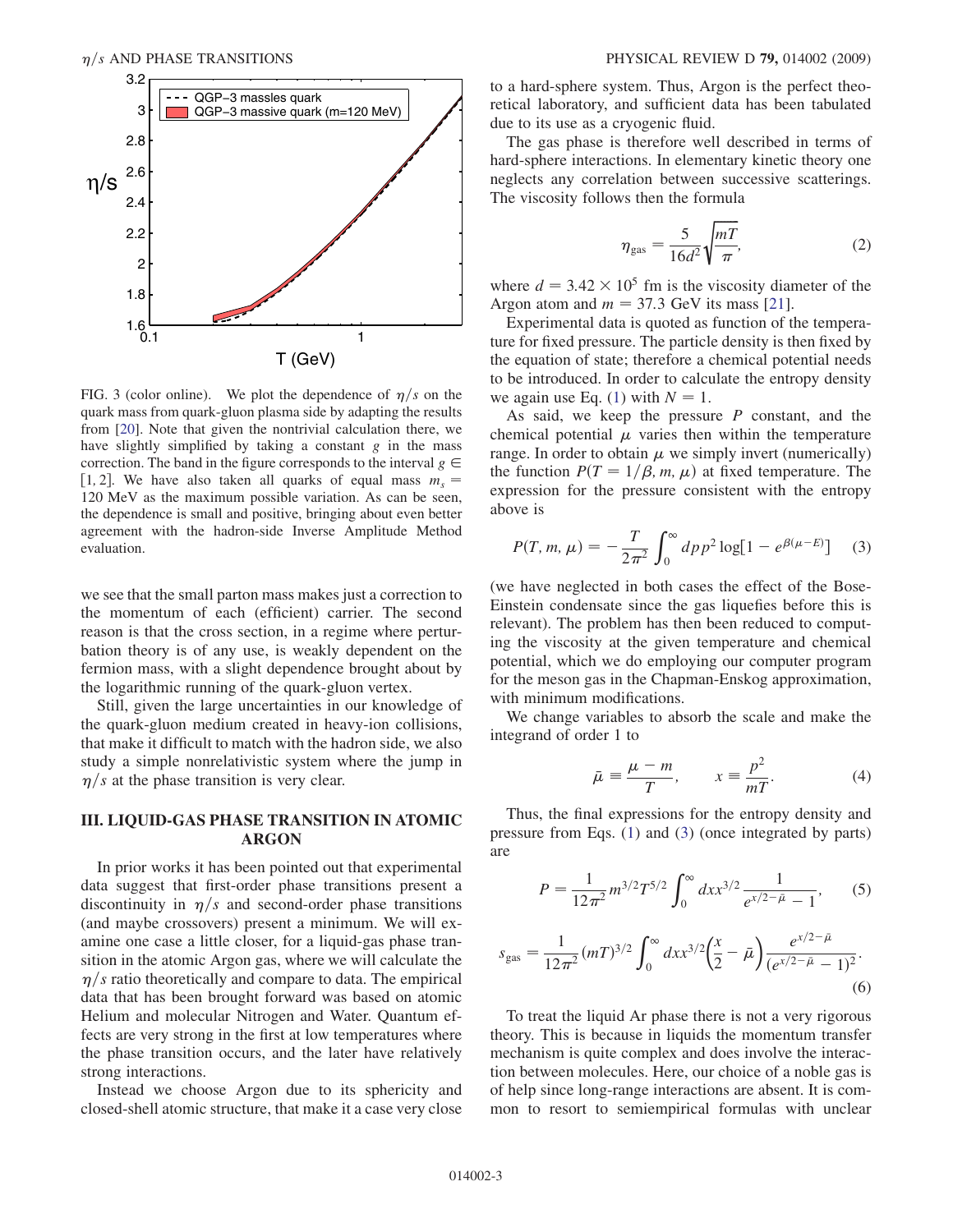

FIG. 3 (color online). We plot the dependence of  $\eta/s$  on the quark mass from quark-gluon plasma side by adapting the results from [20]. Note that given the nontrivial calculation there, we have slightly simplified by taking a constant  $g$  in the mass correction. The band in the figure corresponds to the interval  $g \in$ [1, 2]. We have also taken all quarks of equal mass  $m_s = 120$  MeV as the maximum possible variation. As can be seen 120 MeV as the maximum possible variation. As can be seen, the dependence is small and positive, bringing about even better agreement with the hadron-side Inverse Amplitude Method evaluation.

we see that the small parton mass makes just a correction to the momentum of each (efficient) carrier. The second reason is that the cross section, in a regime where perturbation theory is of any use, is weakly dependent on the fermion mass, with a slight dependence brought about by the logarithmic running of the quark-gluon vertex.

Still, given the large uncertainties in our knowledge of the quark-gluon medium created in heavy-ion collisions, that make it difficult to match with the hadron side, we also study a simple nonrelativistic system where the jump in  $\eta/s$  at the phase transition is very clear.

## III. LIQUID-GAS PHASE TRANSITION IN ATOMIC ARGON

In prior works it has been pointed out that experimental data suggest that first-order phase transitions present a discontinuity in  $\eta/s$  and second-order phase transitions (and maybe crossovers) present a minimum. We will examine one case a little closer, for a liquid-gas phase transition in the atomic Argon gas, where we will calculate the  $\eta/s$  ratio theoretically and compare to data. The empirical data that has been brought forward was based on atomic Helium and molecular Nitrogen and Water. Quantum effects are very strong in the first at low temperatures where the phase transition occurs, and the later have relatively strong interactions.

Instead we choose Argon due to its sphericity and closed-shell atomic structure, that make it a case very close to a hard-sphere system. Thus, Argon is the perfect theoretical laboratory, and sufficient data has been tabulated due to its use as a cryogenic fluid.

<span id="page-2-1"></span>The gas phase is therefore well described in terms of hard-sphere interactions. In elementary kinetic theory one neglects any correlation between successive scatterings. The viscosity follows then the formula

$$
\eta_{\rm gas} = \frac{5}{16d^2} \sqrt{\frac{mT}{\pi}},\tag{2}
$$

where  $d = 3.42 \times 10^5$  fm is the viscosity diameter of the Argon atom and  $m = 37.3$  GeV its mass [21].

Experimental data is quoted as function of the temperature for fixed pressure. The particle density is then fixed by the equation of state; therefore a chemical potential needs to be introduced. In order to calculate the entropy density we again use Eq. ([1\)](#page-0-0) with  $N = 1$ .

As said, we keep the pressure  $P$  constant, and the chemical potential  $\mu$  varies then within the temperature range. In order to obtain  $\mu$  we simply invert (numerically) the function  $P(T = 1/\beta, m, \mu)$  at fixed temperature. The expression for the pressure consistent with the entropy above is

<span id="page-2-0"></span>
$$
P(T, m, \mu) = -\frac{T}{2\pi^2} \int_0^{\infty} dp \, p^2 \log[1 - e^{\beta(\mu - E)}] \tag{3}
$$

(we have neglected in both cases the effect of the Bose-Einstein condensate since the gas liquefies before this is relevant). The problem has then been reduced to computing the viscosity at the given temperature and chemical potential, which we do employing our computer program for the meson gas in the Chapman-Enskog approximation, with minimum modifications.

We change variables to absorb the scale and make the integrand of order 1 to

$$
\bar{\mu} \equiv \frac{\mu - m}{T}, \qquad x \equiv \frac{p^2}{mT}.
$$
 (4)

Thus, the final expressions for the entropy density and pressure from Eqs. ([1](#page-0-0)) and [\(3\)](#page-2-0) (once integrated by parts) are

$$
P = \frac{1}{12\pi^2} m^{3/2} T^{5/2} \int_0^\infty dx x^{3/2} \frac{1}{e^{x/2 - \bar{\mu}} - 1},\qquad(5)
$$

$$
s_{\rm gas} = \frac{1}{12\pi^2} (mT)^{3/2} \int_0^\infty dx x^{3/2} \left(\frac{x}{2} - \bar{\mu}\right) \frac{e^{x/2 - \bar{\mu}}}{(e^{x/2 - \bar{\mu}} - 1)^2}.
$$
\n(6)

To treat the liquid Ar phase there is not a very rigorous theory. This is because in liquids the momentum transfer mechanism is quite complex and does involve the interaction between molecules. Here, our choice of a noble gas is of help since long-range interactions are absent. It is common to resort to semiempirical formulas with unclear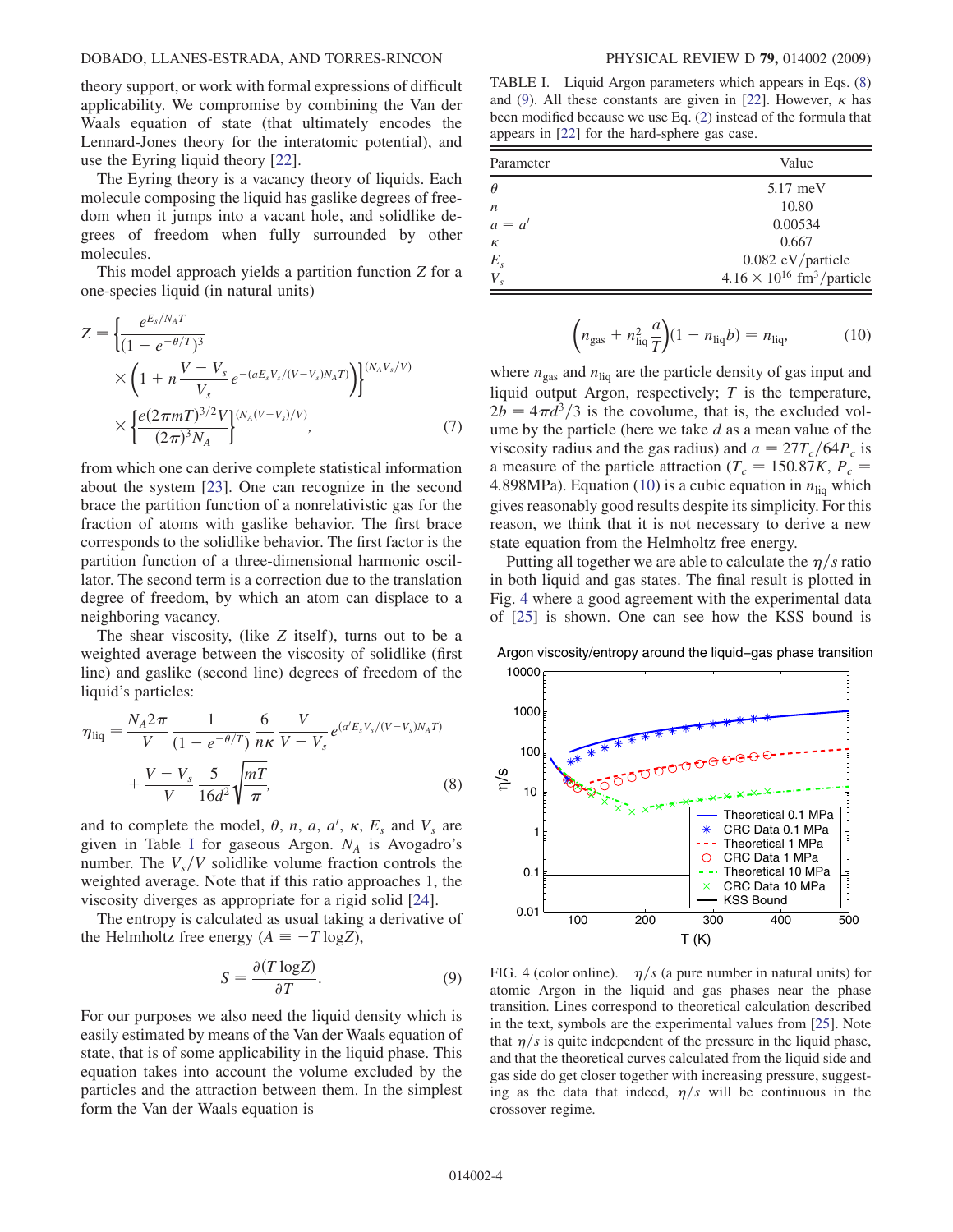### DOBADO, LLANES-ESTRADA, AND TORRES-RINCON PHYSICAL REVIEW D 79, 014002 (2009)

theory support, or work with formal expressions of difficult applicability. We compromise by combining the Van der Waals equation of state (that ultimately encodes the Lennard-Jones theory for the interatomic potential), and use the Eyring liquid theory [22].

The Eyring theory is a vacancy theory of liquids. Each molecule composing the liquid has gaslike degrees of freedom when it jumps into a vacant hole, and solidlike degrees of freedom when fully surrounded by other molecules.

This model approach yields a partition function Z for a one-species liquid (in natural units)

$$
Z = \left\{ \frac{e^{E_s/N_A T}}{(1 - e^{-\theta/T})^3} \times \left( 1 + n \frac{V - V_s}{V_s} e^{-(aE_s V_s/(V - V_s)N_A T)} \right) \right\}^{(N_A V_s/V)} \times \left\{ \frac{e(2\pi m T)^{3/2} V}{(2\pi)^3 N_A} \right\}^{(N_A (V - V_s)/V)},
$$
(7)

from which one can derive complete statistical information about the system [23]. One can recognize in the second brace the partition function of a nonrelativistic gas for the fraction of atoms with gaslike behavior. The first brace corresponds to the solidlike behavior. The first factor is the partition function of a three-dimensional harmonic oscillator. The second term is a correction due to the translation degree of freedom, by which an atom can displace to a neighboring vacancy.

The shear viscosity, (like Z itself ), turns out to be a weighted average between the viscosity of solidlike (first line) and gaslike (second line) degrees of freedom of the liquid's particles:

<span id="page-3-1"></span>
$$
\eta_{\text{liq}} = \frac{N_A 2\pi}{V} \frac{1}{(1 - e^{-\theta/T})} \frac{6}{n\kappa} \frac{V}{V - V_s} e^{(a'E_s V_s/(V - V_s)N_A T)} + \frac{V - V_s}{V} \frac{5}{16d^2} \sqrt{\frac{m}{\pi}},
$$
\n(8)

and to complete the model,  $\theta$ , n, a, a',  $\kappa$ ,  $E_s$  and  $V_s$  are given in Table I for gaseous Argon.  $N_A$  is Avogadro's number. The  $V_s/V$  solidlike volume fraction controls the weighted average. Note that if this ratio approaches 1, the viscosity diverges as appropriate for a rigid solid [24].

<span id="page-3-2"></span>The entropy is calculated as usual taking a derivative of the Helmholtz free energy ( $A = -T \log Z$ ),

$$
S = \frac{\partial (T \log Z)}{\partial T}.
$$
 (9)

For our purposes we also need the liquid density which is easily estimated by means of the Van der Waals equation of state, that is of some applicability in the liquid phase. This equation takes into account the volume excluded by the particles and the attraction between them. In the simplest form the Van der Waals equation is

TABLE I. Liquid Argon parameters which appears in Eqs. [\(8\)](#page-3-1) and [\(9](#page-3-2)). All these constants are given in [22]. However,  $\kappa$  has been modified because we use Eq. ([2\)](#page-2-1) instead of the formula that appears in [22] for the hard-sphere gas case.

| Parameter        | Value                                           |
|------------------|-------------------------------------------------|
| $\theta$         | $5.17$ meV                                      |
| $\boldsymbol{n}$ | 10.80                                           |
| $a = a'$         | 0.00534                                         |
| к                | 0.667                                           |
| $E_s$            | $0.082$ eV/particle                             |
| $V_{s}$          | $4.16 \times 10^{16}$ fm <sup>3</sup> /particle |
|                  |                                                 |

$$
\left(n_{\rm gas} + n_{\rm liq}^2 \frac{a}{T}\right) (1 - n_{\rm liq} b) = n_{\rm liq},\tag{10}
$$

<span id="page-3-0"></span>where  $n_{\text{gas}}$  and  $n_{\text{liq}}$  are the particle density of gas input and liquid output Argon, respectively;  $T$  is the temperature,  $2b = 4\pi d^3/3$  is the covolume, that is, the excluded volume by the particle (here we take  $d$  as a mean value of the viscosity radius and the gas radius) and  $a = 27T_c/64P_c$  is a measure of the particle attraction ( $T_c = 150.87K$ ,  $P_c =$ 4.898MPa). Equation ([10](#page-3-0)) is a cubic equation in  $n_{\text{liq}}$  which gives reasonably good results despite its simplicity. For this reason, we think that it is not necessary to derive a new state equation from the Helmholtz free energy.

Putting all together we are able to calculate the  $\eta/s$  ratio in both liquid and gas states. The final result is plotted in Fig. 4 where a good agreement with the experimental data of [25] is shown. One can see how the KSS bound is

Argon viscosity/entropy around the liquid−gas phase transition



FIG. 4 (color online).  $\eta/s$  (a pure number in natural units) for atomic Argon in the liquid and gas phases near the phase transition. Lines correspond to theoretical calculation described in the text, symbols are the experimental values from [25]. Note that  $\eta/s$  is quite independent of the pressure in the liquid phase, and that the theoretical curves calculated from the liquid side and gas side do get closer together with increasing pressure, suggesting as the data that indeed,  $\eta/s$  will be continuous in the crossover regime.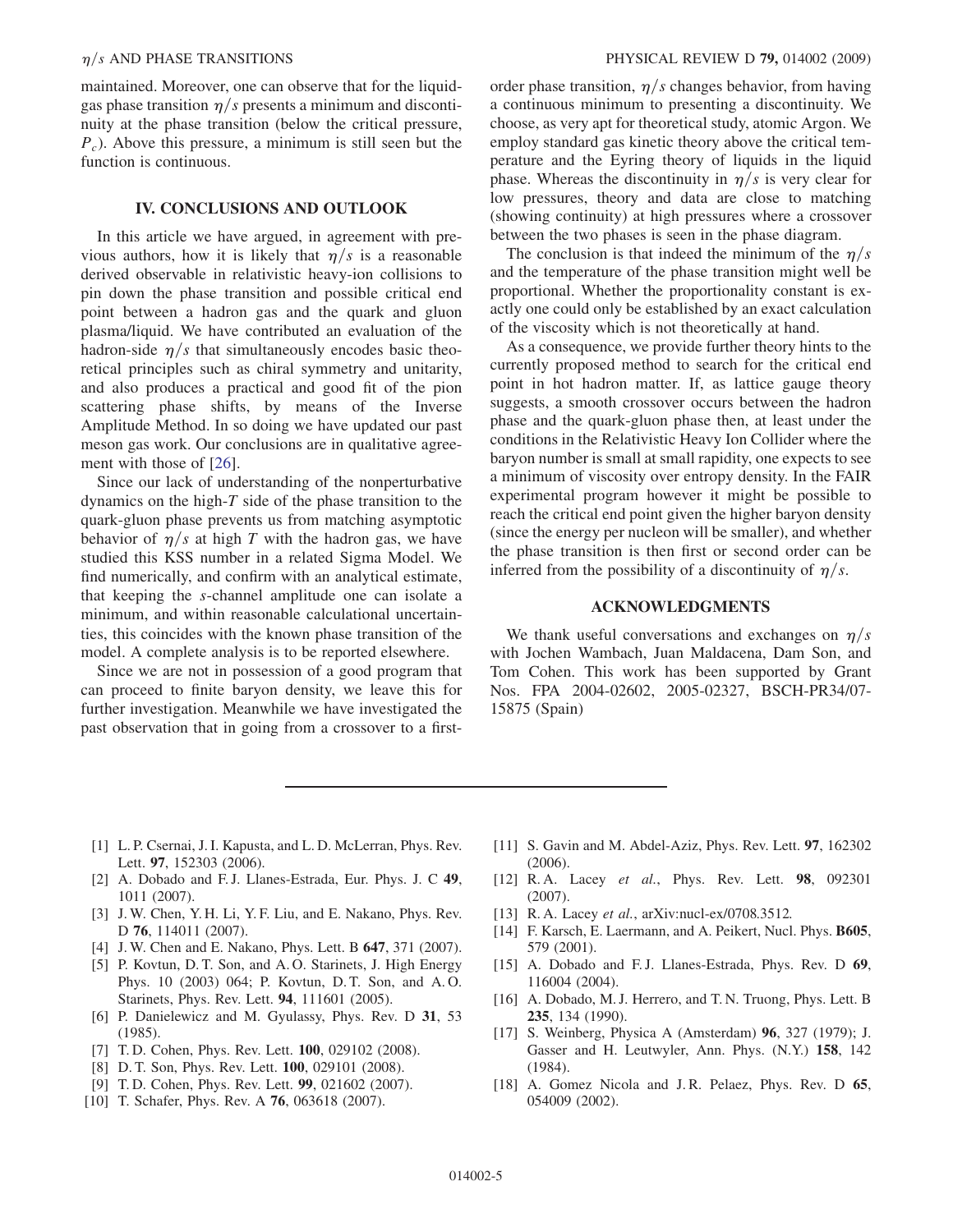maintained. Moreover, one can observe that for the liquidgas phase transition  $\eta/s$  presents a minimum and discontinuity at the phase transition (below the critical pressure,  $P<sub>c</sub>$ ). Above this pressure, a minimum is still seen but the function is continuous.

## IV. CONCLUSIONS AND OUTLOOK

In this article we have argued, in agreement with previous authors, how it is likely that  $\eta/s$  is a reasonable derived observable in relativistic heavy-ion collisions to pin down the phase transition and possible critical end point between a hadron gas and the quark and gluon plasma/liquid. We have contributed an evaluation of the hadron-side  $\eta/s$  that simultaneously encodes basic theoretical principles such as chiral symmetry and unitarity, and also produces a practical and good fit of the pion scattering phase shifts, by means of the Inverse Amplitude Method. In so doing we have updated our past meson gas work. Our conclusions are in qualitative agreement with those of [26].

Since our lack of understanding of the nonperturbative dynamics on the high-T side of the phase transition to the quark-gluon phase prevents us from matching asymptotic behavior of  $\eta/s$  at high T with the hadron gas, we have studied this KSS number in a related Sigma Model. We find numerically, and confirm with an analytical estimate, that keeping the s-channel amplitude one can isolate a minimum, and within reasonable calculational uncertainties, this coincides with the known phase transition of the model. A complete analysis is to be reported elsewhere.

Since we are not in possession of a good program that can proceed to finite baryon density, we leave this for further investigation. Meanwhile we have investigated the past observation that in going from a crossover to a firstorder phase transition,  $\eta/s$  changes behavior, from having a continuous minimum to presenting a discontinuity. We choose, as very apt for theoretical study, atomic Argon. We employ standard gas kinetic theory above the critical temperature and the Eyring theory of liquids in the liquid phase. Whereas the discontinuity in  $\eta/s$  is very clear for low pressures, theory and data are close to matching (showing continuity) at high pressures where a crossover between the two phases is seen in the phase diagram.

The conclusion is that indeed the minimum of the  $\eta/s$ and the temperature of the phase transition might well be proportional. Whether the proportionality constant is exactly one could only be established by an exact calculation of the viscosity which is not theoretically at hand.

As a consequence, we provide further theory hints to the currently proposed method to search for the critical end point in hot hadron matter. If, as lattice gauge theory suggests, a smooth crossover occurs between the hadron phase and the quark-gluon phase then, at least under the conditions in the Relativistic Heavy Ion Collider where the baryon number is small at small rapidity, one expects to see a minimum of viscosity over entropy density. In the FAIR experimental program however it might be possible to reach the critical end point given the higher baryon density (since the energy per nucleon will be smaller), and whether the phase transition is then first or second order can be inferred from the possibility of a discontinuity of  $\eta/s$ .

## ACKNOWLEDGMENTS

We thank useful conversations and exchanges on  $\eta/s$ with Jochen Wambach, Juan Maldacena, Dam Son, and Tom Cohen. This work has been supported by Grant Nos. FPA 2004-02602, 2005-02327, BSCH-PR34/07- 15875 (Spain)

- [1] L. P. Csernai, J. I. Kapusta, and L. D. McLerran, Phys. Rev. Lett. 97, 152303 (2006).
- [2] A. Dobado and F. J. Llanes-Estrada, Eur. Phys. J. C 49, 1011 (2007).
- [3] J. W. Chen, Y. H. Li, Y. F. Liu, and E. Nakano, Phys. Rev. D 76, 114011 (2007).
- [4] J. W. Chen and E. Nakano, Phys. Lett. B 647, 371 (2007).
- [5] P. Kovtun, D. T. Son, and A. O. Starinets, J. High Energy Phys. 10 (2003) 064; P. Kovtun, D. T. Son, and A. O. Starinets, Phys. Rev. Lett. 94, 111601 (2005).
- [6] P. Danielewicz and M. Gyulassy, Phys. Rev. D 31, 53 (1985).
- [7] T.D. Cohen, Phys. Rev. Lett. **100**, 029102 (2008).
- [8] D. T. Son, Phys. Rev. Lett. **100**, 029101 (2008).
- [9] T.D. Cohen, Phys. Rev. Lett. **99**, 021602 (2007).
- [10] T. Schafer, Phys. Rev. A **76**, 063618 (2007).
- [11] S. Gavin and M. Abdel-Aziz, Phys. Rev. Lett. 97, 162302 (2006).
- [12] R.A. Lacey et al., Phys. Rev. Lett. 98, 092301 (2007).
- [13] R. A. Lacey et al., arXiv:nucl-ex/0708.3512.
- [14] F. Karsch, E. Laermann, and A. Peikert, Nucl. Phys. **B605**, 579 (2001).
- [15] A. Dobado and F.J. Llanes-Estrada, Phys. Rev. D 69, 116004 (2004).
- [16] A. Dobado, M. J. Herrero, and T. N. Truong, Phys. Lett. B 235, 134 (1990).
- [17] S. Weinberg, Physica A (Amsterdam) 96, 327 (1979); J. Gasser and H. Leutwyler, Ann. Phys. (N.Y.) 158, 142 (1984).
- [18] A. Gomez Nicola and J.R. Pelaez, Phys. Rev. D 65, 054009 (2002).